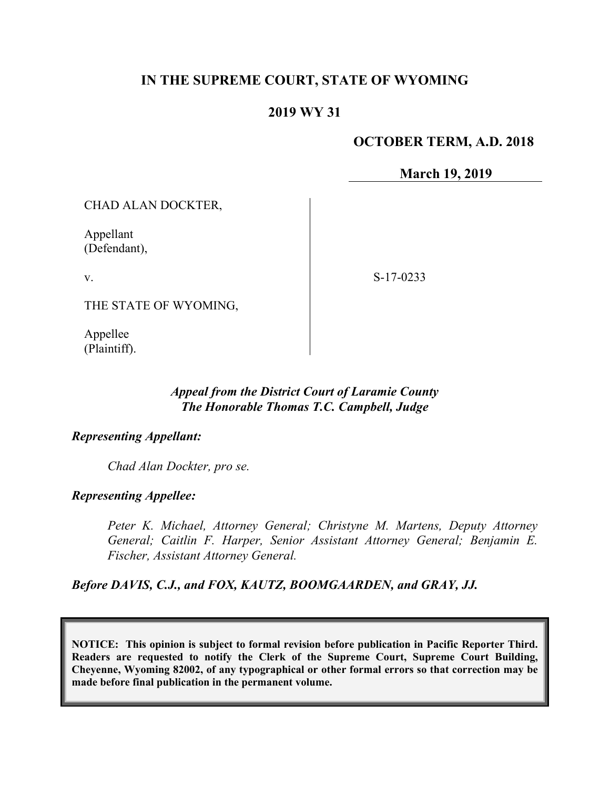# **IN THE SUPREME COURT, STATE OF WYOMING**

### **2019 WY 31**

#### **OCTOBER TERM, A.D. 2018**

**March 19, 2019**

CHAD ALAN DOCKTER,

Appellant (Defendant),

v.

S-17-0233

THE STATE OF WYOMING,

Appellee (Plaintiff).

## *Appeal from the District Court of Laramie County The Honorable Thomas T.C. Campbell, Judge*

#### *Representing Appellant:*

*Chad Alan Dockter, pro se.*

### *Representing Appellee:*

*Peter K. Michael, Attorney General; Christyne M. Martens, Deputy Attorney General; Caitlin F. Harper, Senior Assistant Attorney General; Benjamin E. Fischer, Assistant Attorney General.*

*Before DAVIS, C.J., and FOX, KAUTZ, BOOMGAARDEN, and GRAY, JJ.*

**NOTICE: This opinion is subject to formal revision before publication in Pacific Reporter Third. Readers are requested to notify the Clerk of the Supreme Court, Supreme Court Building, Cheyenne, Wyoming 82002, of any typographical or other formal errors so that correction may be made before final publication in the permanent volume.**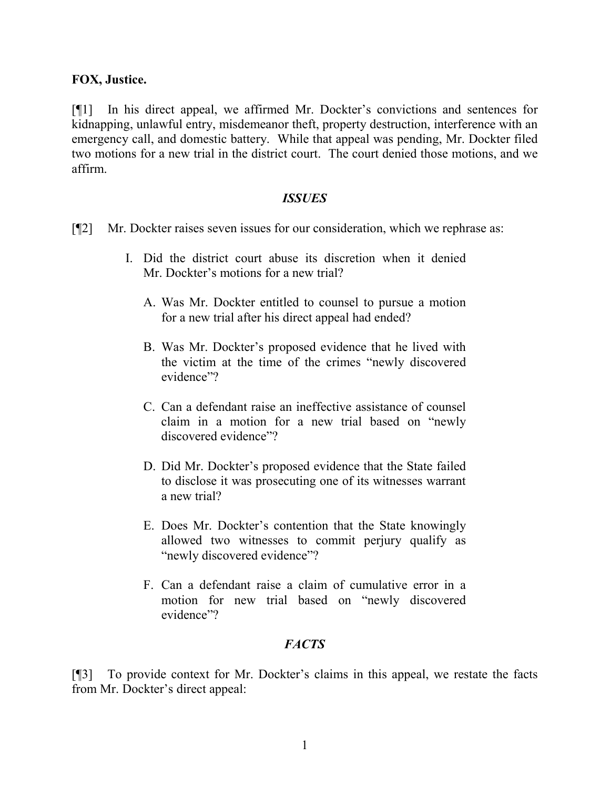#### **FOX, Justice.**

[¶1] In his direct appeal, we affirmed Mr. Dockter's convictions and sentences for kidnapping, unlawful entry, misdemeanor theft, property destruction, interference with an emergency call, and domestic battery. While that appeal was pending, Mr. Dockter filed two motions for a new trial in the district court. The court denied those motions, and we affirm.

#### *ISSUES*

- [¶2] Mr. Dockter raises seven issues for our consideration, which we rephrase as:
	- I. Did the district court abuse its discretion when it denied Mr. Dockter's motions for a new trial?
		- A. Was Mr. Dockter entitled to counsel to pursue a motion for a new trial after his direct appeal had ended?
		- B. Was Mr. Dockter's proposed evidence that he lived with the victim at the time of the crimes "newly discovered evidence"?
		- C. Can a defendant raise an ineffective assistance of counsel claim in a motion for a new trial based on "newly discovered evidence"?
		- D. Did Mr. Dockter's proposed evidence that the State failed to disclose it was prosecuting one of its witnesses warrant a new trial?
		- E. Does Mr. Dockter's contention that the State knowingly allowed two witnesses to commit perjury qualify as "newly discovered evidence"?
		- F. Can a defendant raise a claim of cumulative error in a motion for new trial based on "newly discovered evidence"?

### *FACTS*

[¶3] To provide context for Mr. Dockter's claims in this appeal, we restate the facts from Mr. Dockter's direct appeal: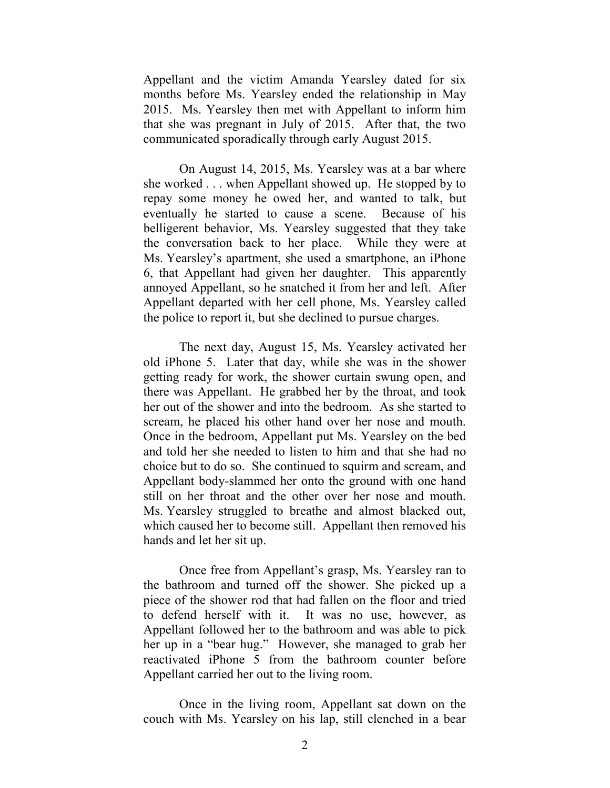Appellant and the victim Amanda Yearsley dated for six months before Ms. Yearsley ended the relationship in May 2015. Ms. Yearsley then met with Appellant to inform him that she was pregnant in July of 2015. After that, the two communicated sporadically through early August 2015.

On August 14, 2015, Ms. Yearsley was at a bar where she worked . . . when Appellant showed up. He stopped by to repay some money he owed her, and wanted to talk, but eventually he started to cause a scene. Because of his belligerent behavior, Ms. Yearsley suggested that they take the conversation back to her place. While they were at Ms. Yearsley's apartment, she used a smartphone, an iPhone 6, that Appellant had given her daughter. This apparently annoyed Appellant, so he snatched it from her and left. After Appellant departed with her cell phone, Ms. Yearsley called the police to report it, but she declined to pursue charges.

The next day, August 15, Ms. Yearsley activated her old iPhone 5. Later that day, while she was in the shower getting ready for work, the shower curtain swung open, and there was Appellant. He grabbed her by the throat, and took her out of the shower and into the bedroom. As she started to scream, he placed his other hand over her nose and mouth. Once in the bedroom, Appellant put Ms. Yearsley on the bed and told her she needed to listen to him and that she had no choice but to do so. She continued to squirm and scream, and Appellant body-slammed her onto the ground with one hand still on her throat and the other over her nose and mouth. Ms. Yearsley struggled to breathe and almost blacked out, which caused her to become still. Appellant then removed his hands and let her sit up.

Once free from Appellant's grasp, Ms. Yearsley ran to the bathroom and turned off the shower. She picked up a piece of the shower rod that had fallen on the floor and tried to defend herself with it. It was no use, however, as Appellant followed her to the bathroom and was able to pick her up in a "bear hug." However, she managed to grab her reactivated iPhone 5 from the bathroom counter before Appellant carried her out to the living room.

Once in the living room, Appellant sat down on the couch with Ms. Yearsley on his lap, still clenched in a bear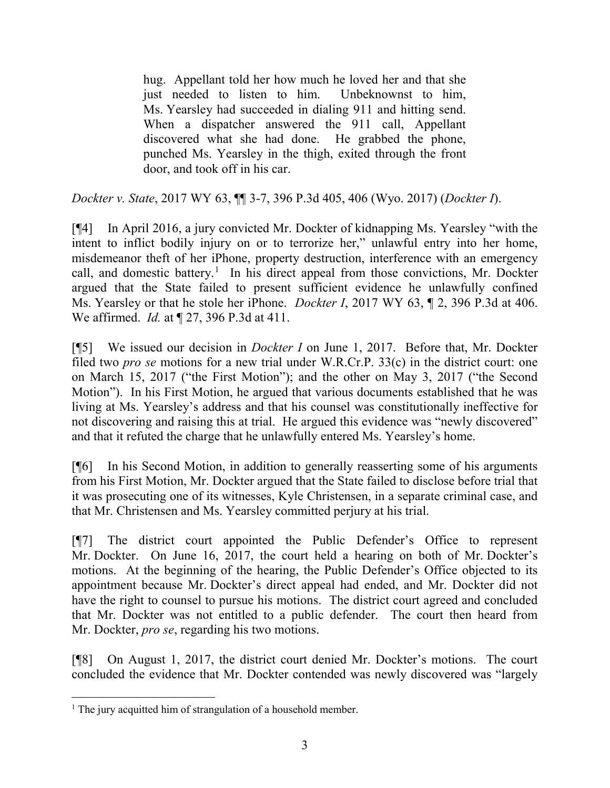hug. Appellant told her how much he loved her and that she just needed to listen to him. Unbeknownst to him, Ms. Yearsley had succeeded in dialing 911 and hitting send. When a dispatcher answered the 911 call, Appellant discovered what she had done. He grabbed the phone, punched Ms. Yearsley in the thigh, exited through the front door, and took off in his car.

*Dockter v. State*, 2017 WY 63, ¶¶ 3-7, 396 P.3d 405, 406 (Wyo. 2017) (*Dockter I*).

[¶4] In April 2016, a jury convicted Mr. Dockter of kidnapping Ms. Yearsley "with the intent to inflict bodily injury on or to terrorize her," unlawful entry into her home, misdemeanor theft of her iPhone, property destruction, interference with an emergency call, and domestic battery.<sup>[1](#page-3-0)</sup> In his direct appeal from those convictions, Mr. Dockter argued that the State failed to present sufficient evidence he unlawfully confined Ms. Yearsley or that he stole her iPhone. *Dockter I*, 2017 WY 63, ¶ 2, 396 P.3d at 406. We affirmed. *Id.* at ¶ 27, 396 P.3d at 411.

[¶5] We issued our decision in *Dockter I* on June 1, 2017. Before that, Mr. Dockter filed two *pro se* motions for a new trial under W.R.Cr.P. 33(c) in the district court: one on March 15, 2017 ("the First Motion"); and the other on May 3, 2017 ("the Second Motion"). In his First Motion, he argued that various documents established that he was living at Ms. Yearsley's address and that his counsel was constitutionally ineffective for not discovering and raising this at trial. He argued this evidence was "newly discovered" and that it refuted the charge that he unlawfully entered Ms. Yearsley's home.

[¶6] In his Second Motion, in addition to generally reasserting some of his arguments from his First Motion, Mr. Dockter argued that the State failed to disclose before trial that it was prosecuting one of its witnesses, Kyle Christensen, in a separate criminal case, and that Mr. Christensen and Ms. Yearsley committed perjury at his trial.

[¶7] The district court appointed the Public Defender's Office to represent Mr. Dockter. On June 16, 2017, the court held a hearing on both of Mr. Dockter's motions. At the beginning of the hearing, the Public Defender's Office objected to its appointment because Mr. Dockter's direct appeal had ended, and Mr. Dockter did not have the right to counsel to pursue his motions. The district court agreed and concluded that Mr. Dockter was not entitled to a public defender. The court then heard from Mr. Dockter, *pro se*, regarding his two motions.

[¶8] On August 1, 2017, the district court denied Mr. Dockter's motions. The court concluded the evidence that Mr. Dockter contended was newly discovered was "largely

<span id="page-3-0"></span><sup>&</sup>lt;sup>1</sup> The jury acquitted him of strangulation of a household member.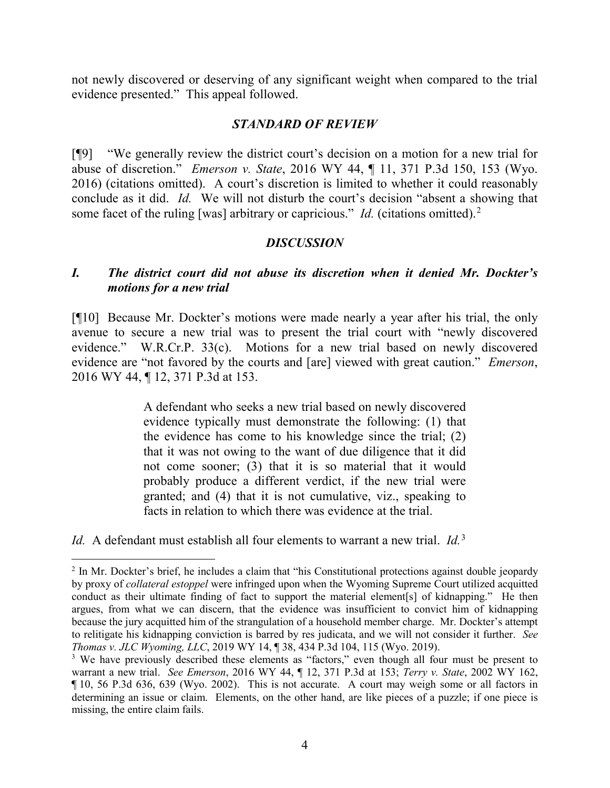not newly discovered or deserving of any significant weight when compared to the trial evidence presented." This appeal followed.

#### *STANDARD OF REVIEW*

[¶9] "We generally review the district court's decision on a motion for a new trial for abuse of discretion." *Emerson v. State*, 2016 WY 44, ¶ 11, 371 P.3d 150, 153 (Wyo. 2016) (citations omitted). A court's discretion is limited to whether it could reasonably conclude as it did. *Id.* We will not disturb the court's decision "absent a showing that some facet of the ruling [was] arbitrary or capricious." *Id.* (citations omitted).<sup>[2](#page-4-0)</sup>

### *DISCUSSION*

# *I. The district court did not abuse its discretion when it denied Mr. Dockter's motions for a new trial*

[¶10] Because Mr. Dockter's motions were made nearly a year after his trial, the only avenue to secure a new trial was to present the trial court with "newly discovered evidence." W.R.Cr.P. 33(c). Motions for a new trial based on newly discovered evidence are "not favored by the courts and [are] viewed with great caution." *Emerson*, 2016 WY 44, ¶ 12, 371 P.3d at 153.

> A defendant who seeks a new trial based on newly discovered evidence typically must demonstrate the following: (1) that the evidence has come to his knowledge since the trial; (2) that it was not owing to the want of due diligence that it did not come sooner; (3) that it is so material that it would probably produce a different verdict, if the new trial were granted; and (4) that it is not cumulative, viz., speaking to facts in relation to which there was evidence at the trial.

*Id.* A defendant must establish all four elements to warrant a new trial. *Id.*[3](#page-4-1)

<span id="page-4-0"></span><sup>&</sup>lt;sup>2</sup> In Mr. Dockter's brief, he includes a claim that "his Constitutional protections against double jeopardy by proxy of *collateral estoppel* were infringed upon when the Wyoming Supreme Court utilized acquitted conduct as their ultimate finding of fact to support the material element[s] of kidnapping." He then argues, from what we can discern, that the evidence was insufficient to convict him of kidnapping because the jury acquitted him of the strangulation of a household member charge. Mr. Dockter's attempt to relitigate his kidnapping conviction is barred by res judicata, and we will not consider it further. *See Thomas v. JLC Wyoming, LLC*, 2019 WY 14, ¶ 38, 434 P.3d 104, 115 (Wyo. 2019).

<span id="page-4-1"></span><sup>&</sup>lt;sup>3</sup> We have previously described these elements as "factors," even though all four must be present to warrant a new trial. *See Emerson*, 2016 WY 44, ¶ 12, 371 P.3d at 153; *Terry v. State*, 2002 WY 162, ¶ 10, 56 P.3d 636, 639 (Wyo. 2002). This is not accurate. A court may weigh some or all factors in determining an issue or claim. Elements, on the other hand, are like pieces of a puzzle; if one piece is missing, the entire claim fails.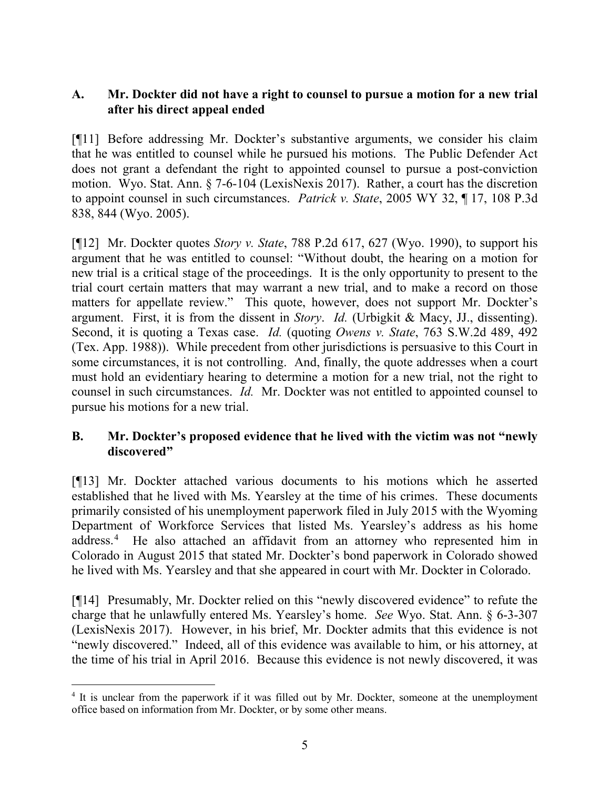# **A. Mr. Dockter did not have a right to counsel to pursue a motion for a new trial after his direct appeal ended**

[¶11] Before addressing Mr. Dockter's substantive arguments, we consider his claim that he was entitled to counsel while he pursued his motions. The Public Defender Act does not grant a defendant the right to appointed counsel to pursue a post-conviction motion. Wyo. Stat. Ann. § 7-6-104 (LexisNexis 2017). Rather, a court has the discretion to appoint counsel in such circumstances. *Patrick v. State*, 2005 WY 32, ¶ 17, 108 P.3d 838, 844 (Wyo. 2005).

[¶12] Mr. Dockter quotes *Story v. State*, 788 P.2d 617, 627 (Wyo. 1990), to support his argument that he was entitled to counsel: "Without doubt, the hearing on a motion for new trial is a critical stage of the proceedings. It is the only opportunity to present to the trial court certain matters that may warrant a new trial, and to make a record on those matters for appellate review." This quote, however, does not support Mr. Dockter's argument. First, it is from the dissent in *Story*. *Id.* (Urbigkit & Macy, JJ., dissenting). Second, it is quoting a Texas case. *Id.* (quoting *Owens v. State*, 763 S.W.2d 489, 492 (Tex. App. 1988)). While precedent from other jurisdictions is persuasive to this Court in some circumstances, it is not controlling. And, finally, the quote addresses when a court must hold an evidentiary hearing to determine a motion for a new trial, not the right to counsel in such circumstances. *Id.* Mr. Dockter was not entitled to appointed counsel to pursue his motions for a new trial.

### **B. Mr. Dockter's proposed evidence that he lived with the victim was not "newly discovered"**

[¶13] Mr. Dockter attached various documents to his motions which he asserted established that he lived with Ms. Yearsley at the time of his crimes. These documents primarily consisted of his unemployment paperwork filed in July 2015 with the Wyoming Department of Workforce Services that listed Ms. Yearsley's address as his home address. [4](#page-5-0) He also attached an affidavit from an attorney who represented him in Colorado in August 2015 that stated Mr. Dockter's bond paperwork in Colorado showed he lived with Ms. Yearsley and that she appeared in court with Mr. Dockter in Colorado.

[¶14] Presumably, Mr. Dockter relied on this "newly discovered evidence" to refute the charge that he unlawfully entered Ms. Yearsley's home. *See* Wyo. Stat. Ann. § 6-3-307 (LexisNexis 2017). However, in his brief, Mr. Dockter admits that this evidence is not "newly discovered." Indeed, all of this evidence was available to him, or his attorney, at the time of his trial in April 2016. Because this evidence is not newly discovered, it was

<span id="page-5-0"></span><sup>&</sup>lt;sup>4</sup> It is unclear from the paperwork if it was filled out by Mr. Dockter, someone at the unemployment office based on information from Mr. Dockter, or by some other means.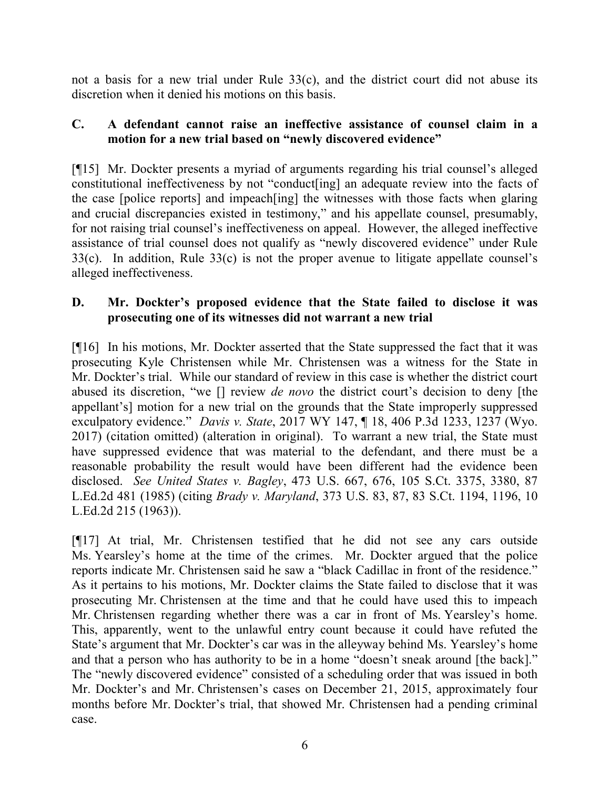not a basis for a new trial under Rule 33(c), and the district court did not abuse its discretion when it denied his motions on this basis.

# **C. A defendant cannot raise an ineffective assistance of counsel claim in a motion for a new trial based on "newly discovered evidence"**

[¶15] Mr. Dockter presents a myriad of arguments regarding his trial counsel's alleged constitutional ineffectiveness by not "conduct[ing] an adequate review into the facts of the case [police reports] and impeach[ing] the witnesses with those facts when glaring and crucial discrepancies existed in testimony," and his appellate counsel, presumably, for not raising trial counsel's ineffectiveness on appeal. However, the alleged ineffective assistance of trial counsel does not qualify as "newly discovered evidence" under Rule 33(c). In addition, Rule 33(c) is not the proper avenue to litigate appellate counsel's alleged ineffectiveness.

# **D. Mr. Dockter's proposed evidence that the State failed to disclose it was prosecuting one of its witnesses did not warrant a new trial**

[¶16] In his motions, Mr. Dockter asserted that the State suppressed the fact that it was prosecuting Kyle Christensen while Mr. Christensen was a witness for the State in Mr. Dockter's trial. While our standard of review in this case is whether the district court abused its discretion, "we [] review *de novo* the district court's decision to deny [the appellant's] motion for a new trial on the grounds that the State improperly suppressed exculpatory evidence." *Davis v. State*, 2017 WY 147, ¶ 18, 406 P.3d 1233, 1237 (Wyo. 2017) (citation omitted) (alteration in original). To warrant a new trial, the State must have suppressed evidence that was material to the defendant, and there must be a reasonable probability the result would have been different had the evidence been disclosed. *See United States v. Bagley*, 473 U.S. 667, 676, 105 S.Ct. 3375, 3380, 87 L.Ed.2d 481 (1985) (citing *Brady v. Maryland*, 373 U.S. 83, 87, 83 S.Ct. 1194, 1196, 10 L.Ed.2d 215 (1963)).

[¶17] At trial, Mr. Christensen testified that he did not see any cars outside Ms. Yearsley's home at the time of the crimes. Mr. Dockter argued that the police reports indicate Mr. Christensen said he saw a "black Cadillac in front of the residence." As it pertains to his motions, Mr. Dockter claims the State failed to disclose that it was prosecuting Mr. Christensen at the time and that he could have used this to impeach Mr. Christensen regarding whether there was a car in front of Ms. Yearsley's home. This, apparently, went to the unlawful entry count because it could have refuted the State's argument that Mr. Dockter's car was in the alleyway behind Ms. Yearsley's home and that a person who has authority to be in a home "doesn't sneak around [the back]." The "newly discovered evidence" consisted of a scheduling order that was issued in both Mr. Dockter's and Mr. Christensen's cases on December 21, 2015, approximately four months before Mr. Dockter's trial, that showed Mr. Christensen had a pending criminal case.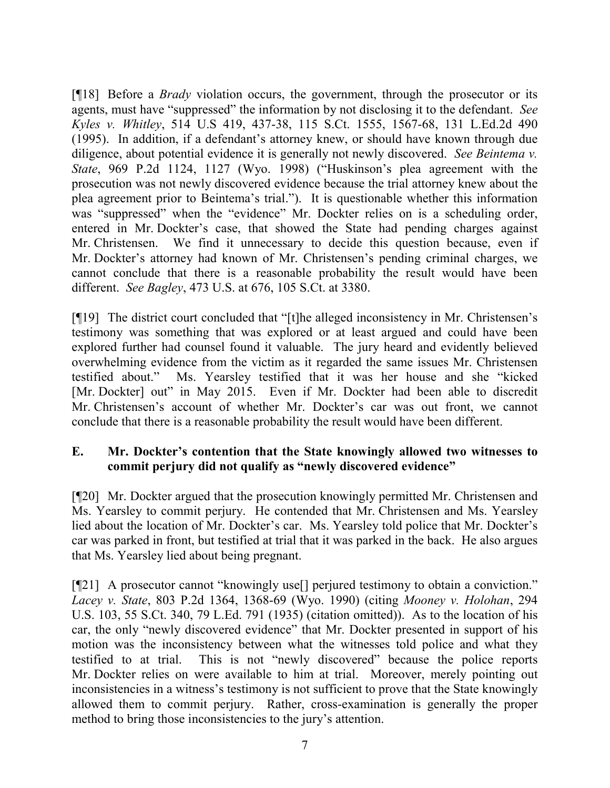[¶18] Before a *Brady* violation occurs, the government, through the prosecutor or its agents, must have "suppressed" the information by not disclosing it to the defendant. *See Kyles v. Whitley*, 514 U.S 419, 437-38, 115 S.Ct. 1555, 1567-68, 131 L.Ed.2d 490 (1995). In addition, if a defendant's attorney knew, or should have known through due diligence, about potential evidence it is generally not newly discovered. *See Beintema v. State*, 969 P.2d 1124, 1127 (Wyo. 1998) ("Huskinson's plea agreement with the prosecution was not newly discovered evidence because the trial attorney knew about the plea agreement prior to Beintema's trial."). It is questionable whether this information was "suppressed" when the "evidence" Mr. Dockter relies on is a scheduling order, entered in Mr. Dockter's case, that showed the State had pending charges against Mr. Christensen. We find it unnecessary to decide this question because, even if Mr. Dockter's attorney had known of Mr. Christensen's pending criminal charges, we cannot conclude that there is a reasonable probability the result would have been different. *See Bagley*, 473 U.S. at 676, 105 S.Ct. at 3380.

[¶19] The district court concluded that "[t]he alleged inconsistency in Mr. Christensen's testimony was something that was explored or at least argued and could have been explored further had counsel found it valuable. The jury heard and evidently believed overwhelming evidence from the victim as it regarded the same issues Mr. Christensen testified about." Ms. Yearsley testified that it was her house and she "kicked [Mr. Dockter] out" in May 2015. Even if Mr. Dockter had been able to discredit Mr. Christensen's account of whether Mr. Dockter's car was out front, we cannot conclude that there is a reasonable probability the result would have been different.

# **E. Mr. Dockter's contention that the State knowingly allowed two witnesses to commit perjury did not qualify as "newly discovered evidence"**

[¶20] Mr. Dockter argued that the prosecution knowingly permitted Mr. Christensen and Ms. Yearsley to commit perjury. He contended that Mr. Christensen and Ms. Yearsley lied about the location of Mr. Dockter's car. Ms. Yearsley told police that Mr. Dockter's car was parked in front, but testified at trial that it was parked in the back. He also argues that Ms. Yearsley lied about being pregnant.

[¶21] A prosecutor cannot "knowingly use[] perjured testimony to obtain a conviction." *Lacey v. State*, 803 P.2d 1364, 1368-69 (Wyo. 1990) (citing *Mooney v. Holohan*, 294 U.S. 103, 55 S.Ct. 340, 79 L.Ed. 791 (1935) (citation omitted)). As to the location of his car, the only "newly discovered evidence" that Mr. Dockter presented in support of his motion was the inconsistency between what the witnesses told police and what they testified to at trial. This is not "newly discovered" because the police reports Mr. Dockter relies on were available to him at trial. Moreover, merely pointing out inconsistencies in a witness's testimony is not sufficient to prove that the State knowingly allowed them to commit perjury. Rather, cross-examination is generally the proper method to bring those inconsistencies to the jury's attention.